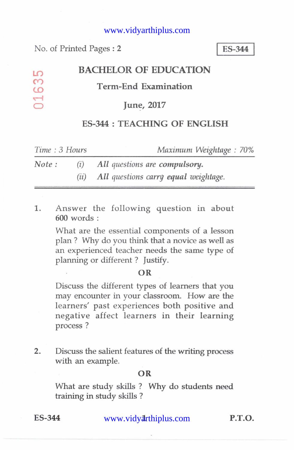#### www.vidyarthiplus.com

No. of Printed Pages : 2 I **ES-344 <sup>I</sup>**

 $\overline{10}$  $\infty$  $\overline{O}$  $\overline{d}$ 

# **BACHELOR OF EDUCATION**

## **Term-End Examination**

## **June, 2017**

# **ES-344: TEACHING OF ENGLISH**

| Time: 3 Hours |      | Maximum Weightage: 70%               |
|---------------|------|--------------------------------------|
| Note:         | (i)  | All questions are compulsory.        |
|               | (11) | All questions carry equal weightage. |

1. Answer the following question in about 600 words :

> What are the essential components of a lesson plan ? Why do you think that a novice as well as an experienced teacher needs the same type of planning or different ? Justify.

#### **OR**

Discuss the different types of learners that you may encounter in your classroom. How are the learners' past experiences both positive and negative affect learners in their learning process ?

2. Discuss the salient features of the writing process with an example.

## **OR**

What are study skills ? Why do students need training in study skills ?

ES-344 www.vidyarthiplus.com **P.T.O.**